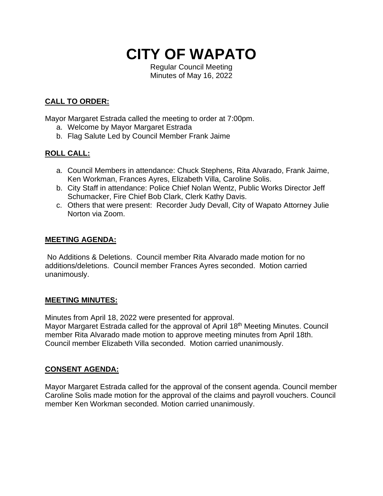

Regular Council Meeting Minutes of May 16, 2022

# **CALL TO ORDER:**

Mayor Margaret Estrada called the meeting to order at 7:00pm.

- a. Welcome by Mayor Margaret Estrada
- b. Flag Salute Led by Council Member Frank Jaime

# **ROLL CALL:**

- a. Council Members in attendance: Chuck Stephens, Rita Alvarado, Frank Jaime, Ken Workman, Frances Ayres, Elizabeth Villa, Caroline Solis.
- b. City Staff in attendance: Police Chief Nolan Wentz, Public Works Director Jeff Schumacker, Fire Chief Bob Clark, Clerk Kathy Davis.
- c. Others that were present: Recorder Judy Devall, City of Wapato Attorney Julie Norton via Zoom.

### **MEETING AGENDA:**

No Additions & Deletions. Council member Rita Alvarado made motion for no additions/deletions. Council member Frances Ayres seconded. Motion carried unanimously.

#### **MEETING MINUTES:**

Minutes from April 18, 2022 were presented for approval.

Mayor Margaret Estrada called for the approval of April 18<sup>th</sup> Meeting Minutes. Council member Rita Alvarado made motion to approve meeting minutes from April 18th. Council member Elizabeth Villa seconded. Motion carried unanimously.

## **CONSENT AGENDA:**

Mayor Margaret Estrada called for the approval of the consent agenda. Council member Caroline Solis made motion for the approval of the claims and payroll vouchers. Council member Ken Workman seconded. Motion carried unanimously.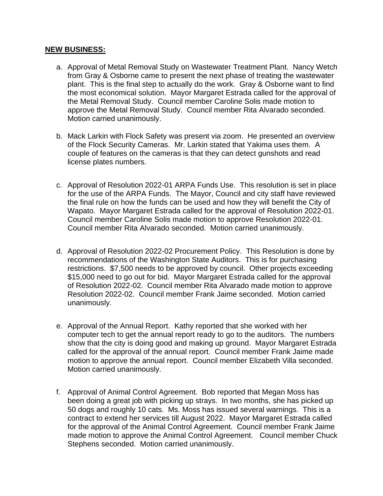#### **NEW BUSINESS:**

- a. Approval of Metal Removal Study on Wastewater Treatment Plant. Nancy Wetch from Gray & Osborne came to present the next phase of treating the wastewater plant. This is the final step to actually do the work. Gray & Osborne want to find the most economical solution. Mayor Margaret Estrada called for the approval of the Metal Removal Study. Council member Caroline Solis made motion to approve the Metal Removal Study. Council member Rita Alvarado seconded. Motion carried unanimously.
- b. Mack Larkin with Flock Safety was present via zoom. He presented an overview of the Flock Security Cameras. Mr. Larkin stated that Yakima uses them. A couple of features on the cameras is that they can detect gunshots and read license plates numbers.
- c. Approval of Resolution 2022-01 ARPA Funds Use. This resolution is set in place for the use of the ARPA Funds. The Mayor, Council and city staff have reviewed the final rule on how the funds can be used and how they will benefit the City of Wapato. Mayor Margaret Estrada called for the approval of Resolution 2022-01. Council member Caroline Solis made motion to approve Resolution 2022-01. Council member Rita Alvarado seconded. Motion carried unanimously.
- d. Approval of Resolution 2022-02 Procurement Policy. This Resolution is done by recommendations of the Washington State Auditors. This is for purchasing restrictions. \$7,500 needs to be approved by council. Other projects exceeding \$15,000 need to go out for bid. Mayor Margaret Estrada called for the approval of Resolution 2022-02. Council member Rita Alvarado made motion to approve Resolution 2022-02. Council member Frank Jaime seconded. Motion carried unanimously.
- e. Approval of the Annual Report. Kathy reported that she worked with her computer tech to get the annual report ready to go to the auditors. The numbers show that the city is doing good and making up ground. Mayor Margaret Estrada called for the approval of the annual report. Council member Frank Jaime made motion to approve the annual report. Council member Elizabeth Villa seconded. Motion carried unanimously.
- f. Approval of Animal Control Agreement. Bob reported that Megan Moss has been doing a great job with picking up strays. In two months, she has picked up 50 dogs and roughly 10 cats. Ms. Moss has issued several warnings. This is a contract to extend her services till August 2022. Mayor Margaret Estrada called for the approval of the Animal Control Agreement. Council member Frank Jaime made motion to approve the Animal Control Agreement. Council member Chuck Stephens seconded. Motion carried unanimously.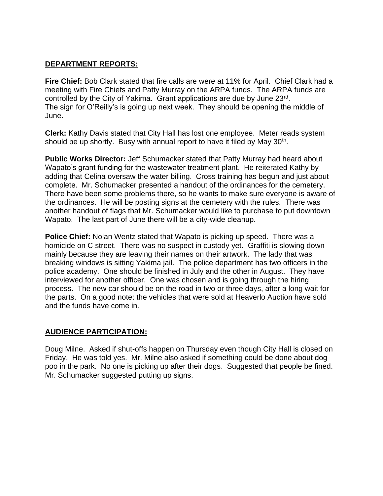#### **DEPARTMENT REPORTS:**

**Fire Chief:** Bob Clark stated that fire calls are were at 11% for April. Chief Clark had a meeting with Fire Chiefs and Patty Murray on the ARPA funds. The ARPA funds are controlled by the City of Yakima. Grant applications are due by June 23rd. The sign for O'Reilly's is going up next week. They should be opening the middle of June.

**Clerk:** Kathy Davis stated that City Hall has lost one employee. Meter reads system should be up shortly. Busy with annual report to have it filed by May 30<sup>th</sup>.

**Public Works Director:** Jeff Schumacker stated that Patty Murray had heard about Wapato's grant funding for the wastewater treatment plant. He reiterated Kathy by adding that Celina oversaw the water billing. Cross training has begun and just about complete. Mr. Schumacker presented a handout of the ordinances for the cemetery. There have been some problems there, so he wants to make sure everyone is aware of the ordinances. He will be posting signs at the cemetery with the rules. There was another handout of flags that Mr. Schumacker would like to purchase to put downtown Wapato. The last part of June there will be a city-wide cleanup.

**Police Chief:** Nolan Wentz stated that Wapato is picking up speed. There was a homicide on C street. There was no suspect in custody yet. Graffiti is slowing down mainly because they are leaving their names on their artwork. The lady that was breaking windows is sitting Yakima jail. The police department has two officers in the police academy. One should be finished in July and the other in August. They have interviewed for another officer. One was chosen and is going through the hiring process. The new car should be on the road in two or three days, after a long wait for the parts. On a good note: the vehicles that were sold at Heaverlo Auction have sold and the funds have come in.

## **AUDIENCE PARTICIPATION:**

Doug Milne. Asked if shut-offs happen on Thursday even though City Hall is closed on Friday. He was told yes. Mr. Milne also asked if something could be done about dog poo in the park. No one is picking up after their dogs. Suggested that people be fined. Mr. Schumacker suggested putting up signs.